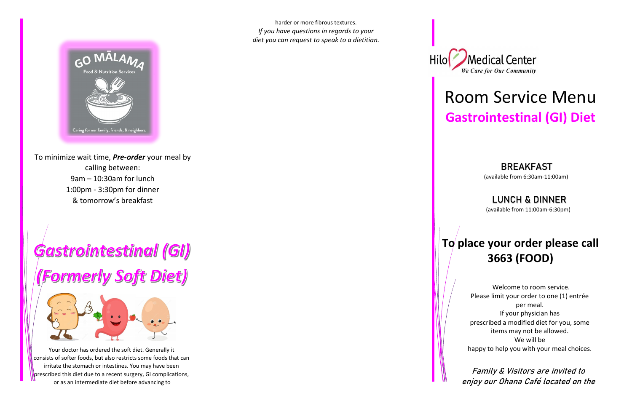To minimize wait time, *Pre-order* your meal by calling between: 9am – 10:30am for lunch 1:00pm - 3:30pm for dinner & tomorrow's breakfast

# Gastrointestinal (GI)

## **Formerly Soft Diet)**



Your doctor has ordered the soft diet. Generally it consists of softer foods, but also restricts some foods that can irritate the stomach or intestines. You may have been prescribed this diet due to a recent surgery, GI complications, or as an intermediate diet before advancing to



### BREAKFAST



harder or more fibrous textures. *If you have questions in regards to your diet you can request to speak to a dietitian.*



## Room Service Menu **Gastrointestinal (GI) Diet**

(available from 6:30am-11:00am)

### LUNCH & DINNER

(available from 11:00am-6:30pm)

### **To place your order please call 3663 (FOOD)**

 Welcome to room service. Please limit your order to one (1) entrée per meal. If your physician has prescribed a modified diet for you, some items may not be allowed. We will be happy to help you with your meal choices.

 Family & Visitors are invited to enjoy our Ohana Café located on the